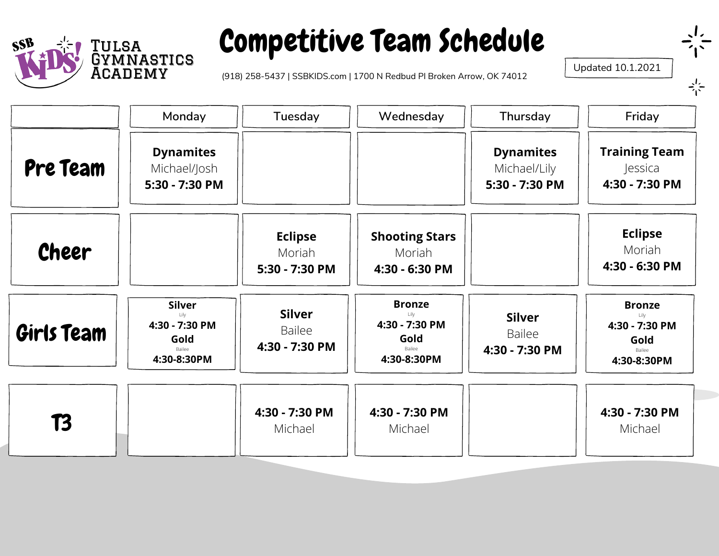

### Competitive Team Schedule

(918) 258-5437 | SSBKIDS.com | 1700 N Redbud Pl Broken Arrow, OK 74012

Updated 10.1.2021